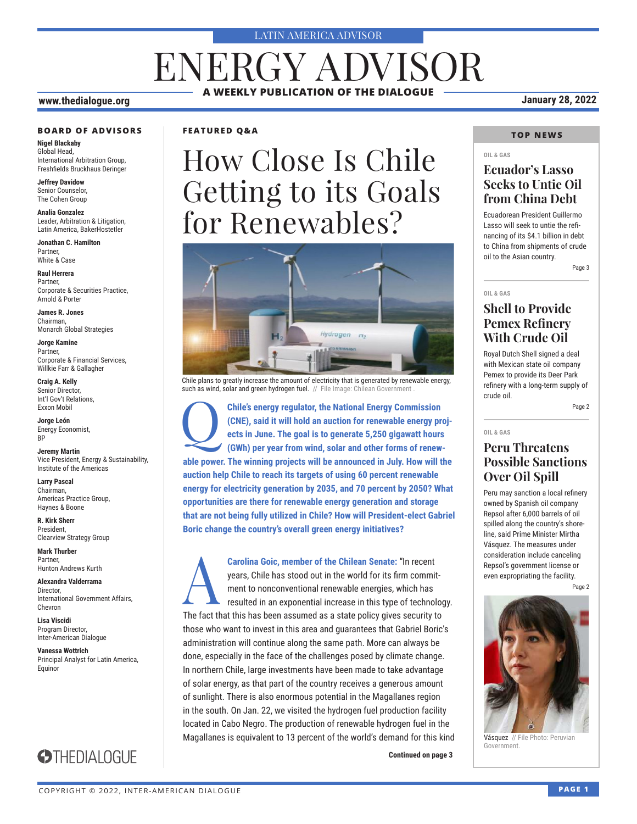#### LATIN AMERICA ADVISOR

# **A WEEKLY PUBLICATION OF THE DIALOGUE** ENERGY ADVISOR

#### **www.thedialogue.org January 28, 2022**

#### **BOARD OF ADVISORS**

**Nigel Blackaby** Global Head, International Arbitration Group, Freshfields Bruckhaus Deringer

**Jeffrey Davidow** Senior Counselor, The Cohen Group

**Analia Gonzalez** Leader, Arbitration & Litigation, Latin America, BakerHostetler

**Jonathan C. Hamilton** Partner, White & Case

**Raul Herrera** Partner, Corporate & Securities Practice, Arnold & Porter

**James R. Jones** Chairman, Monarch Global Strategies

**Jorge Kamine** Partner, Corporate & Financial Services, Willkie Farr & Gallagher

**Craig A. Kelly** Senior Director, Int'l Gov't Relations, Exxon Mobil

**Jorge León** Energy Economist, BP

**Jeremy Martin** Vice President, Energy & Sustainability, Institute of the Americas

**Larry Pascal** Chairman, Americas Practice Group, Haynes & Boone

**R. Kirk Sherr** President, Clearview Strategy Group

**Mark Thurber** Partner, Hunton Andrews Kurth

**Alexandra Valderrama** Director, International Government Affairs, Chevron

**Lisa Viscidi** Program Director, Inter-American Dialogue

**Vanessa Wottrich** Principal Analyst for Latin America, Equinor



### **FEATURED Q&A**

# How Close Is Chile Getting to its Goals for Renewables?



Chile plans to greatly increase the amount of electricity that is generated by renewable energy, such as wind, solar and green hydrogen fuel. // File Image: Chilean Government

**Chile's energy regulator, the National Energy Commission (CNE), said it will hold an auction for renewable energy prects in June. The goal is to generate 5,250 gigawatt hours (GWh) per year from wind, solar and other form (CNE), said it will hold an auction for renewable energy projects in June. The goal is to generate 5,250 gigawatt hours (GWh) per year from wind, solar and other forms of renewable power. The winning projects will be announced in July. How will the auction help Chile to reach its targets of using 60 percent renewable energy for electricity generation by 2035, and 70 percent by 2050? What opportunities are there for renewable energy generation and storage that are not being fully utilized in Chile? How will President-elect Gabriel Boric change the country's overall green energy initiatives?**

**Carolina Goic, member of the Chilean Senate:** "In recent<br>years, Chile has stood out in the world for its firm commit<br>ment to nonconventional renewable energies, which has<br>resulted in an exponential increase in this type o years, Chile has stood out in the world for its firm commitment to nonconventional renewable energies, which has resulted in an exponential increase in this type of technology. The fact that this has been assumed as a state policy gives security to those who want to invest in this area and guarantees that Gabriel Boric's administration will continue along the same path. More can always be done, especially in the face of the challenges posed by climate change. In northern Chile, large investments have been made to take advantage of solar energy, as that part of the country receives a generous amount of sunlight. There is also enormous potential in the Magallanes region in the south. On Jan. 22, we visited the hydrogen fuel production facility located in Cabo Negro. The production of renewable hydrogen fuel in the Magallanes is equivalent to 13 percent of the world's demand for this kind

**Continued on page 3** 

### **TOP NEWS**

#### **OIL & GAS**

### **Ecuador's Lasso Seeks to Untie Oil from China Debt**

Ecuadorean President Guillermo Lasso will seek to untie the refinancing of its \$4.1 billion in debt to China from shipments of crude oil to the Asian country.

Page 3

#### **OIL & GAS**

### **Shell to Provide Pemex Refinery With Crude Oil**

Royal Dutch Shell signed a deal with Mexican state oil company Pemex to provide its Deer Park refinery with a long-term supply of crude oil.

Page 2

#### **OIL & GAS**

### **Peru Threatens Possible Sanctions Over Oil Spill**

Peru may sanction a local refinery owned by Spanish oil company Repsol after 6,000 barrels of oil spilled along the country's shoreline, said Prime Minister Mirtha Vásquez. The measures under consideration include canceling Repsol's government license or even expropriating the facility.

Page 2



Vásquez // File Photo: Peruvian Government.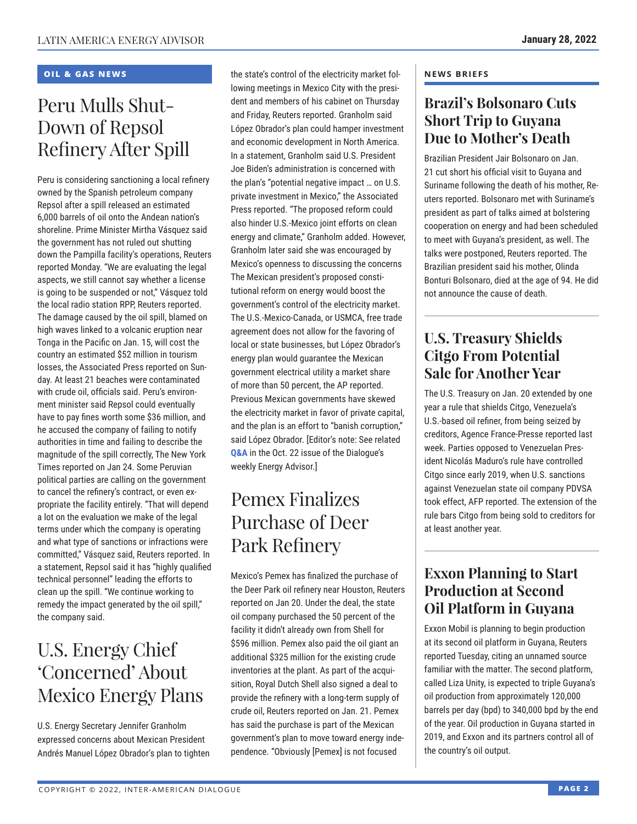### **OIL & GAS NEWS**

# Peru Mulls Shut-Down of Repsol Refinery After Spill

Peru is considering sanctioning a local refinery owned by the Spanish petroleum company Repsol after a spill released an estimated 6,000 barrels of oil onto the Andean nation's shoreline. Prime Minister Mirtha Vásquez said the government has not ruled out shutting down the Pampilla facility's operations, Reuters reported Monday. "We are evaluating the legal aspects, we still cannot say whether a license is going to be suspended or not," Vásquez told the local radio station RPP, Reuters reported. The damage caused by the oil spill, blamed on high waves linked to a volcanic eruption near Tonga in the Pacific on Jan. 15, will cost the country an estimated \$52 million in tourism losses, the Associated Press reported on Sunday. At least 21 beaches were contaminated with crude oil, officials said. Peru's environment minister said Repsol could eventually have to pay fines worth some \$36 million, and he accused the company of failing to notify authorities in time and failing to describe the magnitude of the spill correctly, The New York Times reported on Jan 24. Some Peruvian political parties are calling on the government to cancel the refinery's contract, or even expropriate the facility entirely. "That will depend a lot on the evaluation we make of the legal terms under which the company is operating and what type of sanctions or infractions were committed," Vásquez said, Reuters reported. In a statement, Repsol said it has "highly qualified technical personnel" leading the efforts to clean up the spill. "We continue working to remedy the impact generated by the oil spill," the company said.

# U.S. Energy Chief 'Concerned' About Mexico Energy Plans

U.S. Energy Secretary Jennifer Granholm expressed concerns about Mexican President Andrés Manuel López Obrador's plan to tighten

the state's control of the electricity market following meetings in Mexico City with the president and members of his cabinet on Thursday and Friday, Reuters reported. Granholm said López Obrador's plan could hamper investment and economic development in North America. In a statement, Granholm said U.S. President Joe Biden's administration is concerned with the plan's "potential negative impact … on U.S. private investment in Mexico," the Associated Press reported. "The proposed reform could also hinder U.S.-Mexico joint efforts on clean energy and climate," Granholm added. However, Granholm later said she was encouraged by Mexico's openness to discussing the concerns The Mexican president's proposed constitutional reform on energy would boost the government's control of the electricity market. The U.S.-Mexico-Canada, or USMCA, free trade agreement does not allow for the favoring of local or state businesses, but López Obrador's energy plan would guarantee the Mexican government electrical utility a market share of more than 50 percent, the AP reported. Previous Mexican governments have skewed the electricity market in favor of private capital, and the plan is an effort to "banish corruption," said López Obrador. [Editor's note: See related **[Q&A](http://www.thedialogue.org/wp-content/uploads/2021/10/LEA211022.pdf)** in the Oct. 22 issue of the Dialogue's weekly Energy Advisor.]

# Pemex Finalizes Purchase of Deer Park Refinery

Mexico's Pemex has finalized the purchase of the Deer Park oil refinery near Houston, Reuters reported on Jan 20. Under the deal, the state oil company purchased the 50 percent of the facility it didn't already own from Shell for \$596 million. Pemex also paid the oil giant an additional \$325 million for the existing crude inventories at the plant. As part of the acquisition, Royal Dutch Shell also signed a deal to provide the refinery with a long-term supply of crude oil, Reuters reported on Jan. 21. Pemex has said the purchase is part of the Mexican government's plan to move toward energy independence. "Obviously [Pemex] is not focused

### **NEWS BRIEFS**

### **Brazil's Bolsonaro Cuts Short Trip to Guyana Due to Mother's Death**

Brazilian President Jair Bolsonaro on Jan. 21 cut short his official visit to Guyana and Suriname following the death of his mother, Reuters reported. Bolsonaro met with Suriname's president as part of talks aimed at bolstering cooperation on energy and had been scheduled to meet with Guyana's president, as well. The talks were postponed, Reuters reported. The Brazilian president said his mother, Olinda Bonturi Bolsonaro, died at the age of 94. He did not announce the cause of death.

### **U.S. Treasury Shields Citgo From Potential Sale for Another Year**

The U.S. Treasury on Jan. 20 extended by one year a rule that shields Citgo, Venezuela's U.S.-based oil refiner, from being seized by creditors, Agence France-Presse reported last week. Parties opposed to Venezuelan President Nicolás Maduro's rule have controlled Citgo since early 2019, when U.S. sanctions against Venezuelan state oil company PDVSA took effect, AFP reported. The extension of the rule bars Citgo from being sold to creditors for at least another year.

### **Exxon Planning to Start Production at Second Oil Platform in Guyana**

Exxon Mobil is planning to begin production at its second oil platform in Guyana, Reuters reported Tuesday, citing an unnamed source familiar with the matter. The second platform, called Liza Unity, is expected to triple Guyana's oil production from approximately 120,000 barrels per day (bpd) to 340,000 bpd by the end of the year. Oil production in Guyana started in 2019, and Exxon and its partners control all of the country's oil output.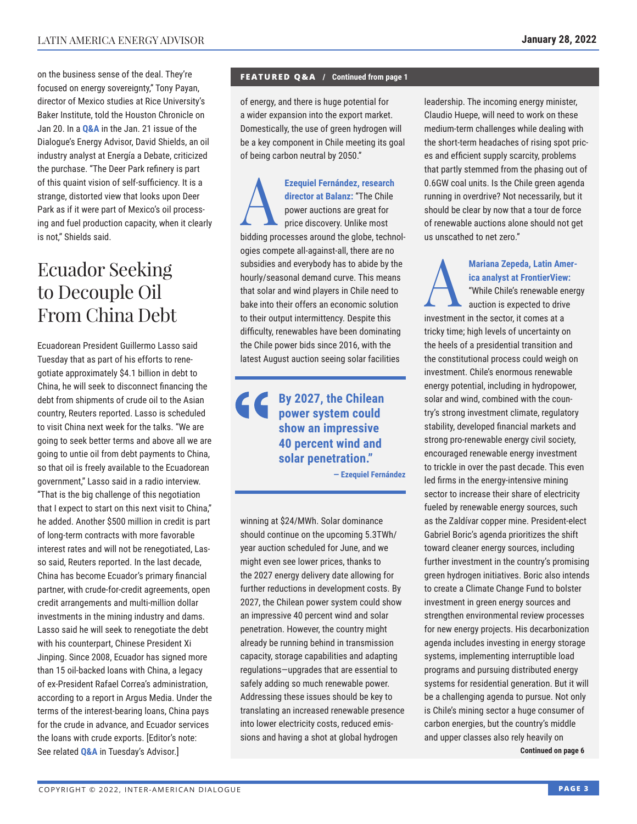on the business sense of the deal. They're focused on energy sovereignty," Tony Payan, director of Mexico studies at Rice University's Baker In[stitute, told](https://www.thedialogue.org/wp-content/uploads/2022/01/LEA220121.pdf) the Houston Chronicle on Jan 20. In a **Q&A** in the Jan. 21 issue of the Dialogue's Energy Advisor, David Shields, an oil industry analyst at Energía a Debate, criticized the purchase. "The Deer Park refinery is part of this quaint vision of self-sufficiency. It is a strange, distorted view that looks upon Deer Park as if it were part of Mexico's oil processing and fuel production capacity, when it clearly is not," Shields said.

# Ecuador Seeking to Decouple Oil From China Debt

Ecuadorean President Guillermo Lasso said Tuesday that as part of his efforts to renegotiate approximately \$4.1 billion in debt to China, he will seek to disconnect financing the debt from shipments of crude oil to the Asian country, Reuters reported. Lasso is scheduled to visit China next week for the talks. "We are going to seek better terms and above all we are going to untie oil from debt payments to China, so that oil is freely available to the Ecuadorean government," Lasso said in a radio interview. "That is the big challenge of this negotiation that I expect to start on this next visit to China," he added. Another \$500 million in credit is part of long-term contracts with more favorable interest rates and will not be renegotiated, Lasso said, Reuters reported. In the last decade, China has become Ecuador's primary financial partner, with crude-for-credit agreements, open credit arrangements and multi-million dollar investments in the mining industry and dams. Lasso said he will seek to renegotiate the debt with his counterpart, Chinese President Xi Jinping. Since 2008, Ecuador has signed more than 15 oil-backed loans with China, a legacy of ex-President Rafael Correa's administration, according to a report in Argus Media. Under the terms of the interest-bearing loans, China pays for the crude in advance, and Ecuador services the loans with crude exports. [Editor's note: See related **[Q&A](https://www.thedialogue.org/wp-content/uploads/2022/01/LAA220125.pdf)** in Tuesday's Advisor.]

#### **FEATURED Q&A / Continued from page 1**

of energy, and there is huge potential for a wider expansion into the export market. Domestically, the use of green hydrogen will be a key component in Chile meeting its goal of being carbon neutral by 2050."

Ezequiel Fernández, research<br>
director at Balanz: "The Chile<br>
power auctions are great for<br>
price discovery. Unlike most<br>
bidding processes around the global tophs **director at Balanz:** "The Chile power auctions are great for price discovery. Unlike most bidding processes around the globe, technologies compete all-against-all, there are no subsidies and everybody has to abide by the hourly/seasonal demand curve. This means that solar and wind players in Chile need to bake into their offers an economic solution to their output intermittency. Despite this difficulty, renewables have been dominating the Chile power bids since 2016, with the latest August auction seeing solar facilities

 $\left( \right)$ **By 2027, the Chilean power system could show an impressive 40 percent wind and solar penetration."**

**— Ezequiel Fernández**

winning at \$24/MWh. Solar dominance should continue on the upcoming 5.3TWh/ year auction scheduled for June, and we might even see lower prices, thanks to the 2027 energy delivery date allowing for further reductions in development costs. By 2027, the Chilean power system could show an impressive 40 percent wind and solar penetration. However, the country might already be running behind in transmission capacity, storage capabilities and adapting regulations—upgrades that are essential to safely adding so much renewable power. Addressing these issues should be key to translating an increased renewable presence into lower electricity costs, reduced emissions and having a shot at global hydrogen

leadership. The incoming energy minister, Claudio Huepe, will need to work on these medium-term challenges while dealing with the short-term headaches of rising spot prices and efficient supply scarcity, problems that partly stemmed from the phasing out of 0.6GW coal units. Is the Chile green agenda running in overdrive? Not necessarily, but it should be clear by now that a tour de force of renewable auctions alone should not get us unscathed to net zero."

Mariana Zepeda, Latin Amer-<br>
ica analyst at FrontierView:<br>
"While Chile's renewable energy<br>
auction is expected to drive **ica analyst at FrontierView:** "While Chile's renewable energy auction is expected to drive investment in the sector, it comes at a tricky time; high levels of uncertainty on the heels of a presidential transition and the constitutional process could weigh on investment. Chile's enormous renewable energy potential, including in hydropower, solar and wind, combined with the country's strong investment climate, regulatory stability, developed financial markets and strong pro-renewable energy civil society, encouraged renewable energy investment to trickle in over the past decade. This even led firms in the energy-intensive mining sector to increase their share of electricity fueled by renewable energy sources, such as the Zaldívar copper mine. President-elect Gabriel Boric's agenda prioritizes the shift toward cleaner energy sources, including further investment in the country's promising green hydrogen initiatives. Boric also intends to create a Climate Change Fund to bolster investment in green energy sources and strengthen environmental review processes for new energy projects. His decarbonization agenda includes investing in energy storage systems, implementing interruptible load programs and pursuing distributed energy systems for residential generation. But it will be a challenging agenda to pursue. Not only is Chile's mining sector a huge consumer of carbon energies, but the country's middle and upper classes also rely heavily on

**Continued on page 6**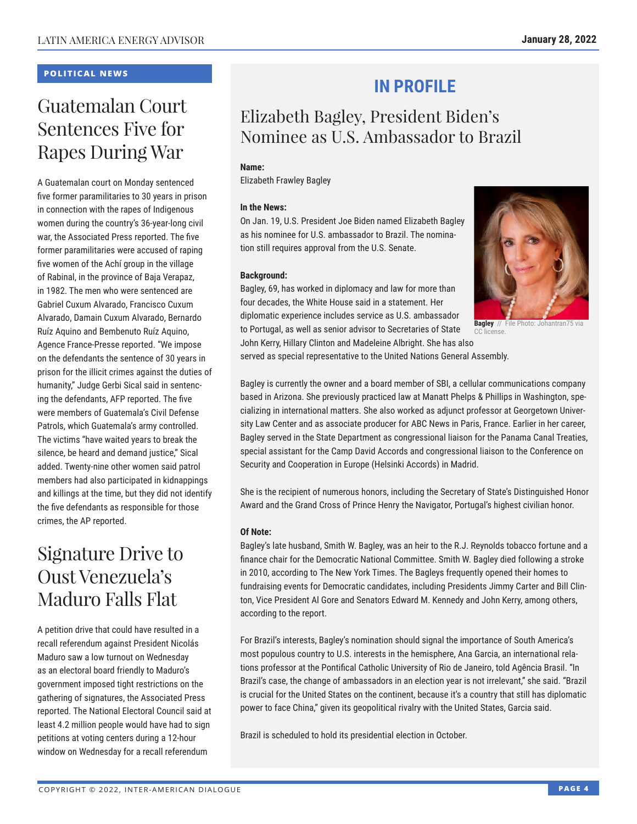### **POLITICAL NEWS**

# Guatemalan Court Sentences Five for Rapes During War

A Guatemalan court on Monday sentenced five former paramilitaries to 30 years in prison in connection with the rapes of Indigenous women during the country's 36-year-long civil war, the Associated Press reported. The five former paramilitaries were accused of raping five women of the Achí group in the village of Rabinal, in the province of Baja Verapaz, in 1982. The men who were sentenced are Gabriel Cuxum Alvarado, Francisco Cuxum Alvarado, Damain Cuxum Alvarado, Bernardo Ruíz Aquino and Bembenuto Ruíz Aquino, Agence France-Presse reported. "We impose on the defendants the sentence of 30 years in prison for the illicit crimes against the duties of humanity," Judge Gerbi Sical said in sentencing the defendants, AFP reported. The five were members of Guatemala's Civil Defense Patrols, which Guatemala's army controlled. The victims "have waited years to break the silence, be heard and demand justice," Sical added. Twenty-nine other women said patrol members had also participated in kidnappings and killings at the time, but they did not identify the five defendants as responsible for those crimes, the AP reported.

# Signature Drive to Oust Venezuela's Maduro Falls Flat

A petition drive that could have resulted in a recall referendum against President Nicolás Maduro saw a low turnout on Wednesday as an electoral board friendly to Maduro's government imposed tight restrictions on the gathering of signatures, the Associated Press reported. The National Electoral Council said at least 4.2 million people would have had to sign petitions at voting centers during a 12-hour window on Wednesday for a recall referendum

## **IN PROFILE**

### Elizabeth Bagley, President Biden's Nominee as U.S. Ambassador to Brazil

### **Name:**

Elizabeth Frawley Bagley

### **In the News:**

On Jan. 19, U.S. President Joe Biden named Elizabeth Bagley as his nominee for U.S. ambassador to Brazil. The nomination still requires approval from the U.S. Senate.

### **Background:**

Bagley, 69, has worked in diplomacy and law for more than four decades, the White House said in a statement. Her diplomatic experience includes service as U.S. ambassador to Portugal, as well as senior advisor to Secretaries of State



**Bagley** // File Photo: Johantran75 via  $nca$ 

John Kerry, Hillary Clinton and Madeleine Albright. She has also served as special representative to the United Nations General Assembly.

Bagley is currently the owner and a board member of SBI, a cellular communications company based in Arizona. She previously practiced law at Manatt Phelps & Phillips in Washington, specializing in international matters. She also worked as adjunct professor at Georgetown University Law Center and as associate producer for ABC News in Paris, France. Earlier in her career, Bagley served in the State Department as congressional liaison for the Panama Canal Treaties, special assistant for the Camp David Accords and congressional liaison to the Conference on Security and Cooperation in Europe (Helsinki Accords) in Madrid.

She is the recipient of numerous honors, including the Secretary of State's Distinguished Honor Award and the Grand Cross of Prince Henry the Navigator, Portugal's highest civilian honor.

### **Of Note:**

Bagley's late husband, Smith W. Bagley, was an heir to the R.J. Reynolds tobacco fortune and a finance chair for the Democratic National Committee. Smith W. Bagley died following a stroke in 2010, according to The New York Times. The Bagleys frequently opened their homes to fundraising events for Democratic candidates, including Presidents Jimmy Carter and Bill Clinton, Vice President Al Gore and Senators Edward M. Kennedy and John Kerry, among others, according to the report.

For Brazil's interests, Bagley's nomination should signal the importance of South America's most populous country to U.S. interests in the hemisphere, Ana Garcia, an international relations professor at the Pontifical Catholic University of Rio de Janeiro, told Agência Brasil. "In Brazil's case, the change of ambassadors in an election year is not irrelevant," she said. "Brazil is crucial for the United States on the continent, because it's a country that still has diplomatic power to face China," given its geopolitical rivalry with the United States, Garcia said.

Brazil is scheduled to hold its presidential election in October.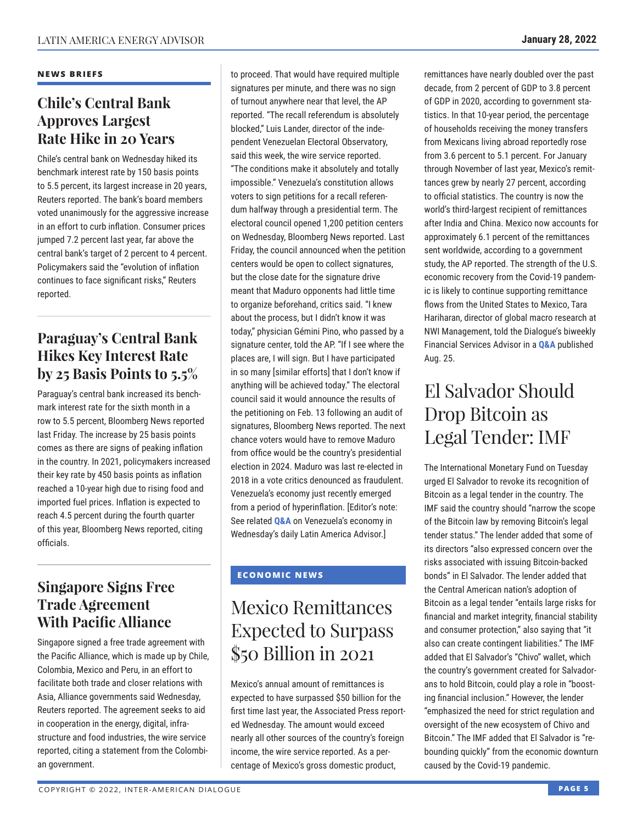### **NEWS BRIEFS**

### **Chile's Central Bank Approves Largest Rate Hike in 20 Years**

Chile's central bank on Wednesday hiked its benchmark interest rate by 150 basis points to 5.5 percent, its largest increase in 20 years, Reuters reported. The bank's board members voted unanimously for the aggressive increase in an effort to curb inflation. Consumer prices jumped 7.2 percent last year, far above the central bank's target of 2 percent to 4 percent. Policymakers said the "evolution of inflation continues to face significant risks," Reuters reported.

### **Paraguay's Central Bank Hikes Key Interest Rate by 25 Basis Points to 5.5%**

Paraguay's central bank increased its benchmark interest rate for the sixth month in a row to 5.5 percent, Bloomberg News reported last Friday. The increase by 25 basis points comes as there are signs of peaking inflation in the country. In 2021, policymakers increased their key rate by 450 basis points as inflation reached a 10-year high due to rising food and imported fuel prices. Inflation is expected to reach 4.5 percent during the fourth quarter of this year, Bloomberg News reported, citing officials.

### **Singapore Signs Free Trade Agreement With Pacific Alliance**

Singapore signed a free trade agreement with the Pacific Alliance, which is made up by Chile, Colombia, Mexico and Peru, in an effort to facilitate both trade and closer relations with Asia, Alliance governments said Wednesday, Reuters reported. The agreement seeks to aid in cooperation in the energy, digital, infrastructure and food industries, the wire service reported, citing a statement from the Colombian government.

to proceed. That would have required multiple signatures per minute, and there was no sign of turnout anywhere near that level, the AP reported. "The recall referendum is absolutely blocked," Luis Lander, director of the independent Venezuelan Electoral Observatory, said this week, the wire service reported. "The conditions make it absolutely and totally impossible." Venezuela's constitution allows voters to sign petitions for a recall referendum halfway through a presidential term. The electoral council opened 1,200 petition centers on Wednesday, Bloomberg News reported. Last Friday, the council announced when the petition centers would be open to collect signatures, but the close date for the signature drive meant that Maduro opponents had little time to organize beforehand, critics said. "I knew about the process, but I didn't know it was today," physician Gémini Pino, who passed by a signature center, told the AP. "If I see where the places are, I will sign. But I have participated in so many [similar efforts] that I don't know if anything will be achieved today." The electoral council said it would announce the results of the petitioning on Feb. 13 following an audit of signatures, Bloomberg News reported. The next chance voters would have to remove Maduro from office would be the country's presidential election in 2024. Maduro was last re-elected in 2018 in a vote critics denounced as fraudulent. Venezuela's economy just recently emerged from a period of hyperinflation. [Editor's note: See related **[Q&A](https://www.thedialogue.org/wp-content/uploads/2022/01/LAA220126.pdf)** on Venezuela's economy in Wednesday's daily Latin America Advisor.]

### **ECONOMIC NEWS**

# Mexico Remittances Expected to Surpass \$50 Billion in 2021

Mexico's annual amount of remittances is expected to have surpassed \$50 billion for the first time last year, the Associated Press reported Wednesday. The amount would exceed nearly all other sources of the country's foreign income, the wire service reported. As a percentage of Mexico's gross domestic product,

remittances have nearly doubled over the past decade, from 2 percent of GDP to 3.8 percent of GDP in 2020, according to government statistics. In that 10-year period, the percentage of households receiving the money transfers from Mexicans living abroad reportedly rose from 3.6 percent to 5.1 percent. For January through November of last year, Mexico's remittances grew by nearly 27 percent, according to official statistics. The country is now the world's third-largest recipient of remittances after India and China. Mexico now accounts for approximately 6.1 percent of the remittances sent worldwide, according to a government study, the AP reported. The strength of the U.S. economic recovery from the Covid-19 pandemic is likely to continue supporting remittance flows from the United States to Mexico, Tara Hariharan, director of global macro research at NWI Management, told the Dialogue's biweekly Financial Services Advisor in a **[Q&A](https://www.thedialogue.org/wp-content/uploads/2021/08/FSA210825.pdf)** published Aug. 25.

# El Salvador Should Drop Bitcoin as Legal Tender: IMF

The International Monetary Fund on Tuesday urged El Salvador to revoke its recognition of Bitcoin as a legal tender in the country. The IMF said the country should "narrow the scope of the Bitcoin law by removing Bitcoin's legal tender status." The lender added that some of its directors "also expressed concern over the risks associated with issuing Bitcoin-backed bonds" in El Salvador. The lender added that the Central American nation's adoption of Bitcoin as a legal tender "entails large risks for financial and market integrity, financial stability and consumer protection," also saying that "it also can create contingent liabilities." The IMF added that El Salvador's "Chivo" wallet, which the country's government created for Salvadorans to hold Bitcoin, could play a role in "boosting financial inclusion." However, the lender "emphasized the need for strict regulation and oversight of the new ecosystem of Chivo and Bitcoin." The IMF added that El Salvador is "rebounding quickly" from the economic downturn caused by the Covid-19 pandemic.